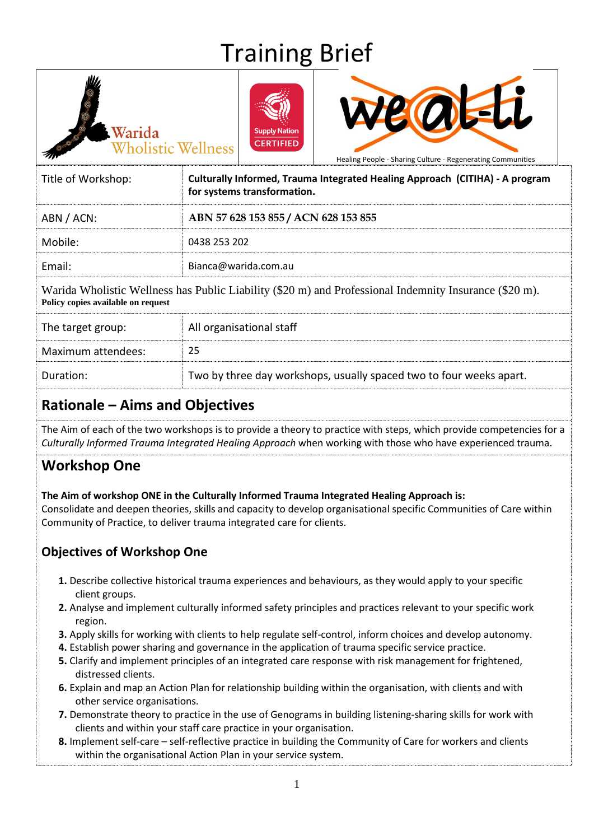# Training Brief





Healing People - Sharing Culture - Regenerating Communities

| Title of Workshop: | Culturally Informed, Trauma Integrated Healing Approach (CITIHA) - A program<br>for systems transformation. |  |
|--------------------|-------------------------------------------------------------------------------------------------------------|--|
| ABN / ACN:         | ABN 57 628 153 855 / ACN 628 153 855                                                                        |  |
| Mobile:            | 0438 253 202                                                                                                |  |
| Email:             | Bianca@warida.com.au                                                                                        |  |
|                    |                                                                                                             |  |

Warida Wholistic Wellness has Public Liability (\$20 m) and Professional Indemnity Insurance (\$20 m). **Policy copies available on request** 

| The target group:  | All organisational staff                                            |
|--------------------|---------------------------------------------------------------------|
| Maximum attendees: | 25                                                                  |
| Duration:          | Two by three day workshops, usually spaced two to four weeks apart. |

### **Rationale – Aims and Objectives**

Warida

Wholistic Wellness

The Aim of each of the two workshops is to provide a theory to practice with steps, which provide competencies for a *Culturally Informed Trauma Integrated Healing Approach* when working with those who have experienced trauma.

### **Workshop One**

#### **The Aim of workshop ONE in the Culturally Informed Trauma Integrated Healing Approach is:**

Consolidate and deepen theories, skills and capacity to develop organisational specific Communities of Care within Community of Practice, to deliver trauma integrated care for clients.

#### **Objectives of Workshop One**

- **1.** Describe collective historical trauma experiences and behaviours, as they would apply to your specific client groups.
- **2.** Analyse and implement culturally informed safety principles and practices relevant to your specific work region.
- **3.** Apply skills for working with clients to help regulate self-control, inform choices and develop autonomy.
- **4.** Establish power sharing and governance in the application of trauma specific service practice.
- **5.** Clarify and implement principles of an integrated care response with risk management for frightened, distressed clients.
- **6.** Explain and map an Action Plan for relationship building within the organisation, with clients and with other service organisations.
- **7.** Demonstrate theory to practice in the use of Genograms in building listening-sharing skills for work with clients and within your staff care practice in your organisation.
- **8.** Implement self-care self-reflective practice in building the Community of Care for workers and clients within the organisational Action Plan in your service system.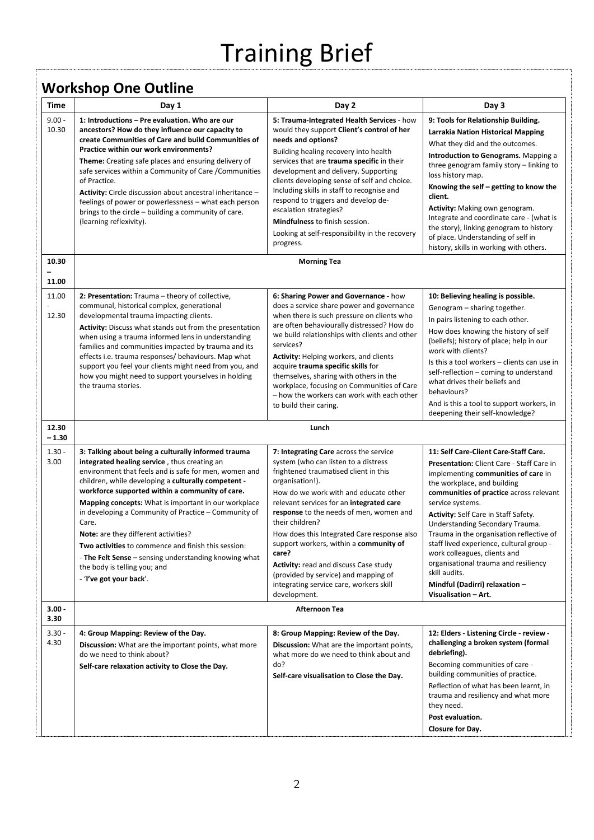# Training Brief

## **Workshop One Outline**

| Time              | . <b>.</b> .<br>Day 1                                                                                                                                                                                                                                                                                                                                                                                                                                                                                                                                                                                              | Day 2                                                                                                                                                                                                                                                                                                                                                                                                                                                                                                                                       | Day 3                                                                                                                                                                                                                                                                                                                                                                                                                                                                                                                                         |  |
|-------------------|--------------------------------------------------------------------------------------------------------------------------------------------------------------------------------------------------------------------------------------------------------------------------------------------------------------------------------------------------------------------------------------------------------------------------------------------------------------------------------------------------------------------------------------------------------------------------------------------------------------------|---------------------------------------------------------------------------------------------------------------------------------------------------------------------------------------------------------------------------------------------------------------------------------------------------------------------------------------------------------------------------------------------------------------------------------------------------------------------------------------------------------------------------------------------|-----------------------------------------------------------------------------------------------------------------------------------------------------------------------------------------------------------------------------------------------------------------------------------------------------------------------------------------------------------------------------------------------------------------------------------------------------------------------------------------------------------------------------------------------|--|
| $9.00 -$<br>10.30 | 1: Introductions - Pre evaluation. Who are our<br>ancestors? How do they influence our capacity to<br>create Communities of Care and build Communities of<br>Practice within our work environments?<br>Theme: Creating safe places and ensuring delivery of<br>safe services within a Community of Care / Communities<br>of Practice.<br>Activity: Circle discussion about ancestral inheritance -<br>feelings of power or powerlessness - what each person<br>brings to the circle - building a community of care.<br>(learning reflexivity).                                                                     | 5: Trauma-Integrated Health Services - how<br>would they support Client's control of her<br>needs and options?<br>Building healing recovery into health<br>services that are trauma specific in their<br>development and delivery. Supporting<br>clients developing sense of self and choice.<br>Including skills in staff to recognise and<br>respond to triggers and develop de-<br>escalation strategies?<br>Mindfulness to finish session.<br>Looking at self-responsibility in the recovery<br>progress.                               | 9: Tools for Relationship Building.<br><b>Larrakia Nation Historical Mapping</b><br>What they did and the outcomes.<br>Introduction to Genograms. Mapping a<br>three genogram family story - linking to<br>loss history map.<br>Knowing the self – getting to know the<br>client.<br>Activity: Making own genogram.<br>Integrate and coordinate care - (what is<br>the story), linking genogram to history<br>of place. Understanding of self in<br>history, skills in working with others.                                                   |  |
| 10.30             |                                                                                                                                                                                                                                                                                                                                                                                                                                                                                                                                                                                                                    | <b>Morning Tea</b>                                                                                                                                                                                                                                                                                                                                                                                                                                                                                                                          |                                                                                                                                                                                                                                                                                                                                                                                                                                                                                                                                               |  |
| 11.00             |                                                                                                                                                                                                                                                                                                                                                                                                                                                                                                                                                                                                                    |                                                                                                                                                                                                                                                                                                                                                                                                                                                                                                                                             |                                                                                                                                                                                                                                                                                                                                                                                                                                                                                                                                               |  |
| 11.00<br>12.30    | 2: Presentation: Trauma - theory of collective,<br>communal, historical complex, generational<br>developmental trauma impacting clients.<br>Activity: Discuss what stands out from the presentation<br>when using a trauma informed lens in understanding<br>families and communities impacted by trauma and its<br>effects i.e. trauma responses/ behaviours. Map what<br>support you feel your clients might need from you, and<br>how you might need to support yourselves in holding<br>the trauma stories.                                                                                                    | 6: Sharing Power and Governance - how<br>does a service share power and governance<br>when there is such pressure on clients who<br>are often behaviourally distressed? How do<br>we build relationships with clients and other<br>services?<br>Activity: Helping workers, and clients<br>acquire trauma specific skills for<br>themselves, sharing with others in the<br>workplace, focusing on Communities of Care<br>- how the workers can work with each other<br>to build their caring.                                                | 10: Believing healing is possible.<br>Genogram - sharing together.<br>In pairs listening to each other.<br>How does knowing the history of self<br>(beliefs); history of place; help in our<br>work with clients?<br>Is this a tool workers - clients can use in<br>self-reflection - coming to understand<br>what drives their beliefs and<br>behaviours?<br>And is this a tool to support workers, in<br>deepening their self-knowledge?                                                                                                    |  |
| 12.30<br>$-1.30$  |                                                                                                                                                                                                                                                                                                                                                                                                                                                                                                                                                                                                                    | Lunch                                                                                                                                                                                                                                                                                                                                                                                                                                                                                                                                       |                                                                                                                                                                                                                                                                                                                                                                                                                                                                                                                                               |  |
| $1.30 -$<br>3.00  | 3: Talking about being a culturally informed trauma<br>integrated healing service, thus creating an<br>environment that feels and is safe for men, women and<br>children, while developing a culturally competent -<br>workforce supported within a community of care.<br>Mapping concepts: What is important in our workplace<br>in developing a Community of Practice - Community of<br>Care.<br>Note: are they different activities?<br>Two activities to commence and finish this session:<br>- The Felt Sense - sensing understanding knowing what<br>the body is telling you; and<br>- 'I've got your back'. | 7: Integrating Care across the service<br>system (who can listen to a distress<br>frightened traumatised client in this<br>organisation!).<br>How do we work with and educate other<br>relevant services for an integrated care<br>response to the needs of men, women and<br>their children?<br>How does this Integrated Care response also<br>support workers, within a community of<br>care?<br>Activity: read and discuss Case study<br>(provided by service) and mapping of<br>integrating service care, workers skill<br>development. | 11: Self Care-Client Care-Staff Care.<br>Presentation: Client Care - Staff Care in<br>implementing communities of care in<br>the workplace, and building<br>communities of practice across relevant<br>service systems.<br>Activity: Self Care in Staff Safety.<br>Understanding Secondary Trauma.<br>Trauma in the organisation reflective of<br>staff lived experience, cultural group -<br>work colleagues, clients and<br>organisational trauma and resiliency<br>skill audits.<br>Mindful (Dadirri) relaxation -<br>Visualisation - Art. |  |
| $3.00 -$<br>3.30  | <b>Afternoon Tea</b>                                                                                                                                                                                                                                                                                                                                                                                                                                                                                                                                                                                               |                                                                                                                                                                                                                                                                                                                                                                                                                                                                                                                                             |                                                                                                                                                                                                                                                                                                                                                                                                                                                                                                                                               |  |
| $3.30 -$<br>4.30  | 4: Group Mapping: Review of the Day.<br>Discussion: What are the important points, what more<br>do we need to think about?<br>Self-care relaxation activity to Close the Day.                                                                                                                                                                                                                                                                                                                                                                                                                                      | 8: Group Mapping: Review of the Day.<br>Discussion: What are the important points,<br>what more do we need to think about and<br>do?<br>Self-care visualisation to Close the Day.                                                                                                                                                                                                                                                                                                                                                           | 12: Elders - Listening Circle - review -<br>challenging a broken system (formal<br>debriefing).<br>Becoming communities of care -<br>building communities of practice.<br>Reflection of what has been learnt, in<br>trauma and resiliency and what more<br>they need.<br>Post evaluation.<br>Closure for Day.                                                                                                                                                                                                                                 |  |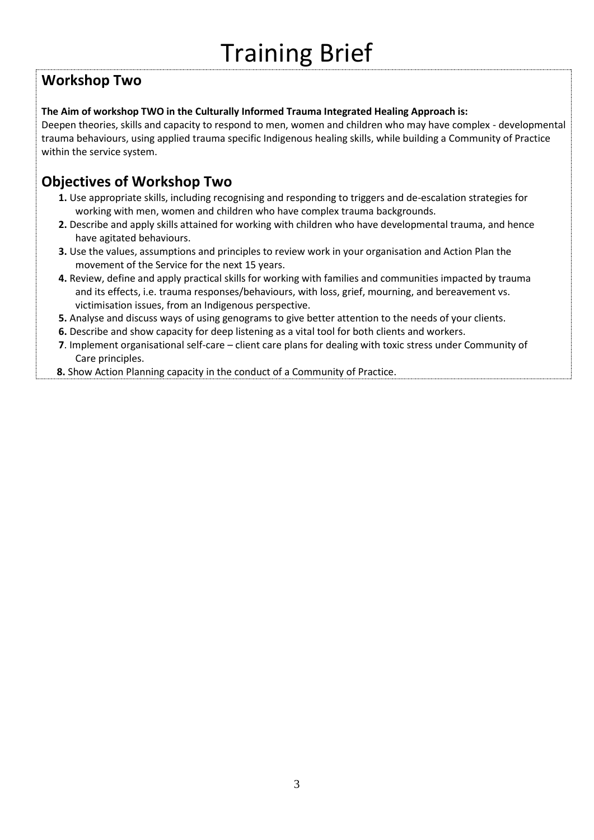### **Workshop Two**

#### **The Aim of workshop TWO in the Culturally Informed Trauma Integrated Healing Approach is:**

Deepen theories, skills and capacity to respond to men, women and children who may have complex - developmental trauma behaviours, using applied trauma specific Indigenous healing skills, while building a Community of Practice within the service system.

#### **Objectives of Workshop Two**

- **1.** Use appropriate skills, including recognising and responding to triggers and de-escalation strategies for working with men, women and children who have complex trauma backgrounds.
- **2.** Describe and apply skills attained for working with children who have developmental trauma, and hence have agitated behaviours.
- **3.** Use the values, assumptions and principles to review work in your organisation and Action Plan the movement of the Service for the next 15 years.
- **4.** Review, define and apply practical skills for working with families and communities impacted by trauma and its effects, i.e. trauma responses/behaviours, with loss, grief, mourning, and bereavement vs. victimisation issues, from an Indigenous perspective.
- **5.** Analyse and discuss ways of using genograms to give better attention to the needs of your clients.
- **6.** Describe and show capacity for deep listening as a vital tool for both clients and workers.
- **7**. Implement organisational self-care client care plans for dealing with toxic stress under Community of Care principles.
- **8.** Show Action Planning capacity in the conduct of a Community of Practice.